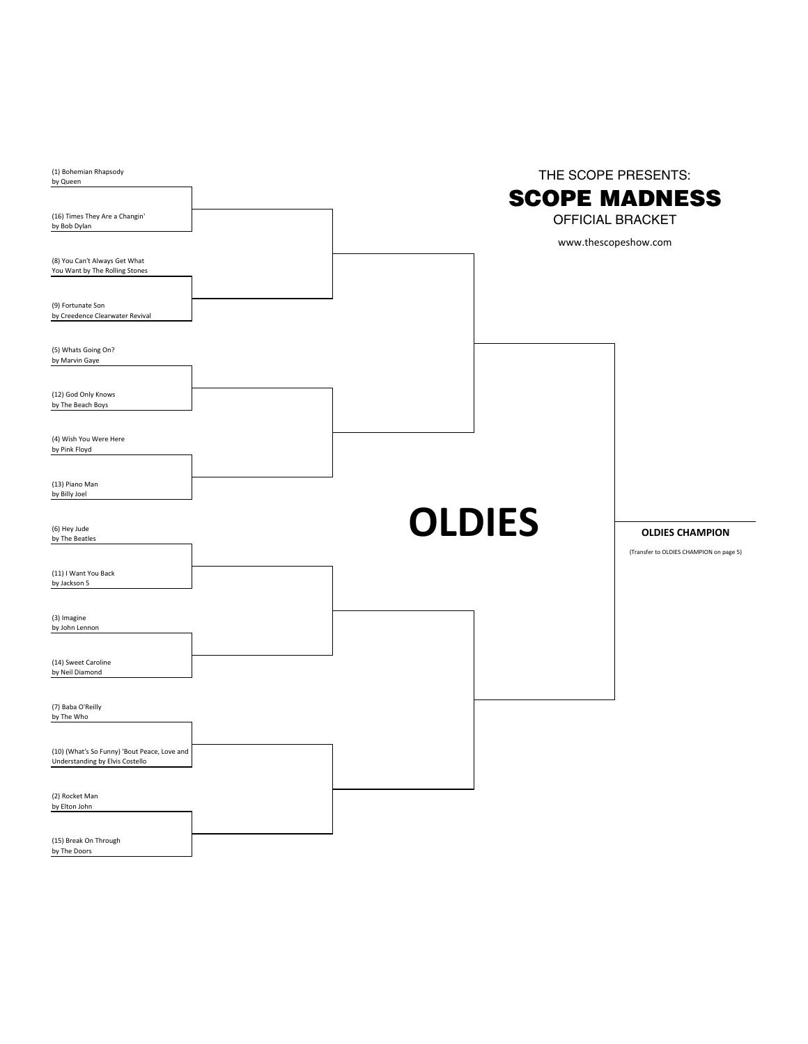| (1) Bohemian Rhapsody<br>by Queen                                               | THE SCOPE PRESENTS:<br><b>SCOPE MADNESS</b>     |                                                                   |  |  |
|---------------------------------------------------------------------------------|-------------------------------------------------|-------------------------------------------------------------------|--|--|
| (16) Times They Are a Changin'<br>by Bob Dylan                                  | <b>OFFICIAL BRACKET</b><br>www.thescopeshow.com |                                                                   |  |  |
| (8) You Can't Always Get What<br>You Want by The Rolling Stones                 |                                                 |                                                                   |  |  |
| (9) Fortunate Son<br>by Creedence Clearwater Revival                            |                                                 |                                                                   |  |  |
| (5) Whats Going On?<br>by Marvin Gaye                                           |                                                 |                                                                   |  |  |
| (12) God Only Knows<br>by The Beach Boys                                        |                                                 |                                                                   |  |  |
| (4) Wish You Were Here<br>by Pink Floyd                                         |                                                 |                                                                   |  |  |
| (13) Piano Man<br>by Billy Joel                                                 |                                                 |                                                                   |  |  |
| (6) Hey Jude<br>by The Beatles                                                  | <b>OLDIES</b>                                   | <b>OLDIES CHAMPION</b><br>(Transfer to OLDIES CHAMPION on page 5) |  |  |
| (11) I Want You Back<br>by Jackson 5                                            |                                                 |                                                                   |  |  |
| (3) Imagine<br>by John Lennon                                                   |                                                 |                                                                   |  |  |
| (14) Sweet Caroline<br>by Neil Diamond                                          |                                                 |                                                                   |  |  |
| (7) Baba O'Reilly<br>by The Who                                                 |                                                 |                                                                   |  |  |
| (10) (What's So Funny) 'Bout Peace, Love and<br>Understanding by Elvis Costello |                                                 |                                                                   |  |  |
| (2) Rocket Man<br>by Elton John                                                 |                                                 |                                                                   |  |  |
| (15) Break On Through<br>by The Doors                                           |                                                 |                                                                   |  |  |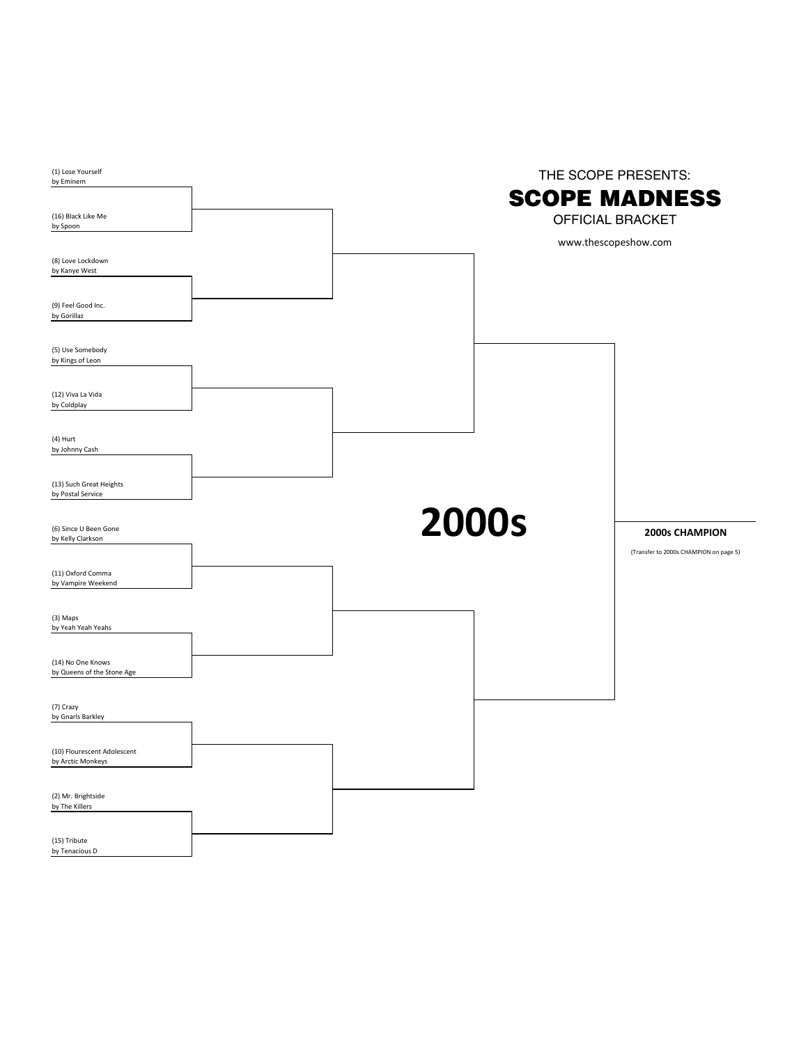| (1) Lose Yourself<br>by Eminem                   |  | THE SCOPE PRESENTS:                                                     |  |                                                                 |  |
|--------------------------------------------------|--|-------------------------------------------------------------------------|--|-----------------------------------------------------------------|--|
| (16) Black Like Me<br>by Spoon                   |  | <b>SCOPE MADNESS</b><br><b>OFFICIAL BRACKET</b><br>www.thescopeshow.com |  |                                                                 |  |
| (8) Love Lockdown<br>by Kanye West               |  |                                                                         |  |                                                                 |  |
| (9) Feel Good Inc.<br>by Gorillaz                |  |                                                                         |  |                                                                 |  |
| (5) Use Somebody<br>by Kings of Leon             |  |                                                                         |  |                                                                 |  |
| (12) Viva La Vida<br>by Coldplay                 |  |                                                                         |  |                                                                 |  |
| (4) Hurt<br>by Johnny Cash                       |  |                                                                         |  |                                                                 |  |
| (13) Such Great Heights<br>by Postal Service     |  |                                                                         |  |                                                                 |  |
| (6) Since U Been Gone<br>by Kelly Clarkson       |  | <b>2000s</b>                                                            |  | <b>2000s CHAMPION</b><br>(Transfer to 2000s CHAMPION on page 5) |  |
| (11) Oxford Comma<br>by Vampire Weekend          |  |                                                                         |  |                                                                 |  |
| (3) Maps<br>by Yeah Yeah Yeahs                   |  |                                                                         |  |                                                                 |  |
| (14) No One Knows<br>by Queens of the Stone Age  |  |                                                                         |  |                                                                 |  |
| (7) Crazy<br>by Gnarls Barkley                   |  |                                                                         |  |                                                                 |  |
| (10) Flourescent Adolescent<br>by Arctic Monkeys |  |                                                                         |  |                                                                 |  |
| (2) Mr. Brightside<br>by The Killers             |  |                                                                         |  |                                                                 |  |
| (15) Tribute<br>by Tenacious D                   |  |                                                                         |  |                                                                 |  |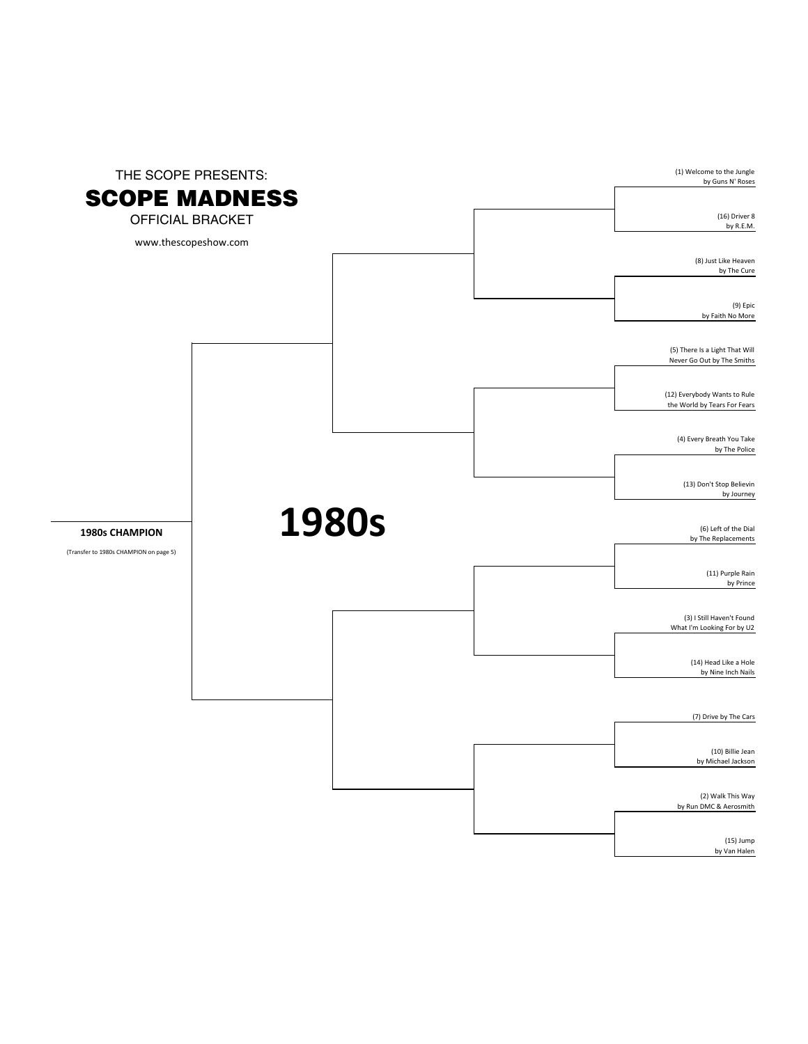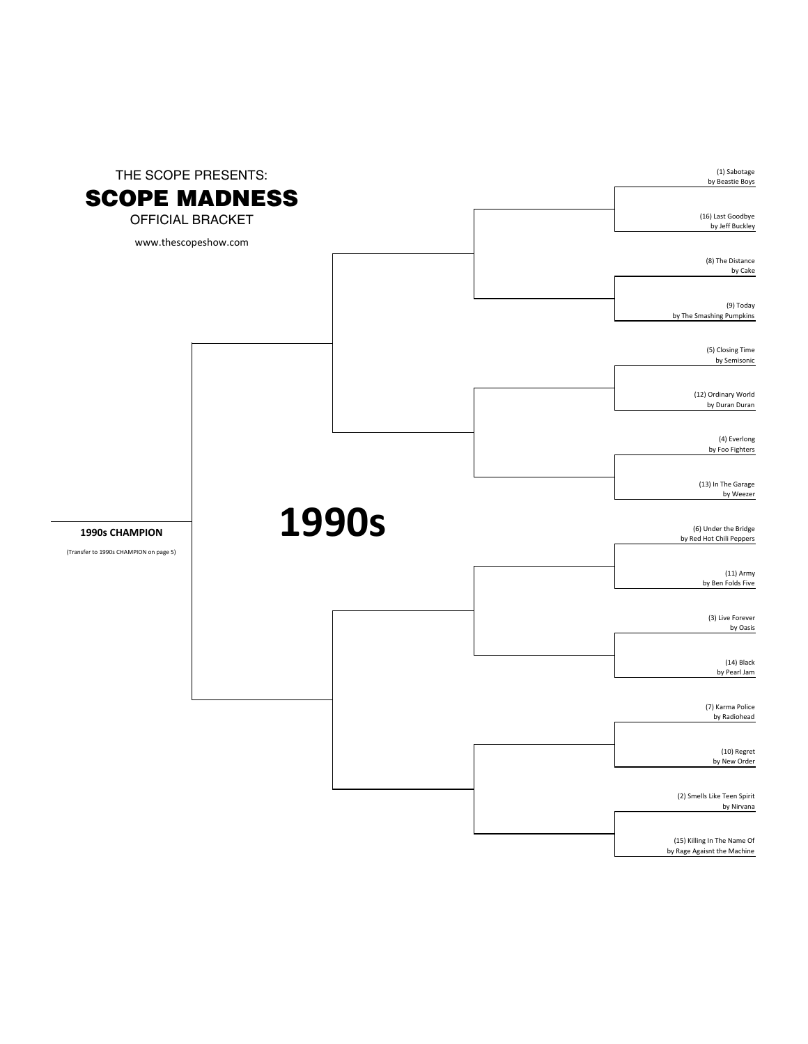